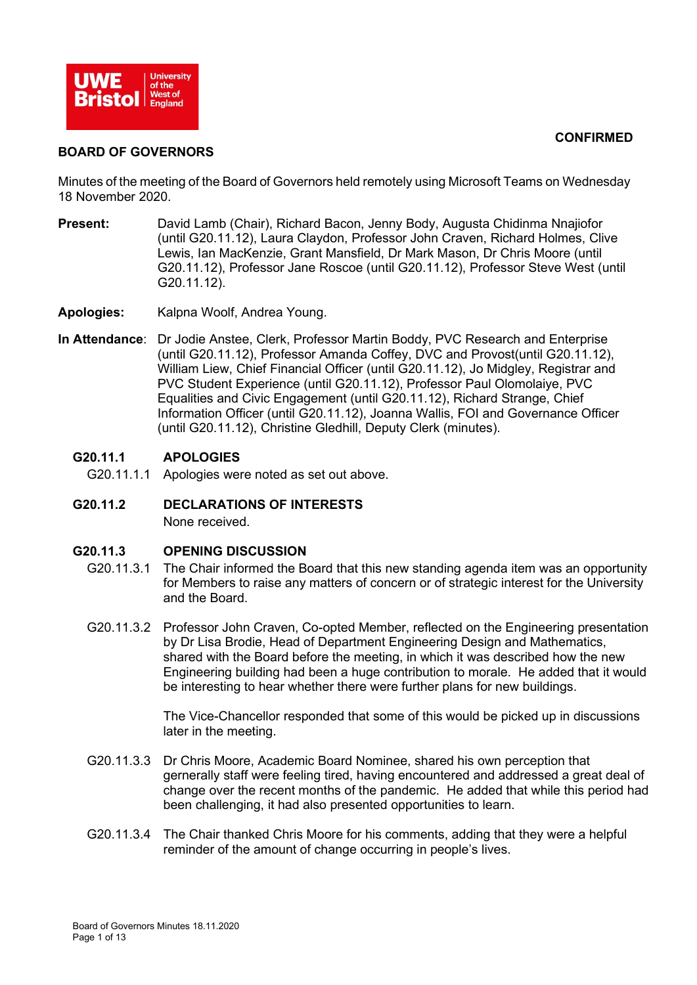#### **CONFIRMED**



### **BOARD OF GOVERNORS**

Minutes of the meeting of the Board of Governors held remotely using Microsoft Teams on Wednesday 18 November 2020.

- **Present:** David Lamb (Chair), Richard Bacon, Jenny Body, Augusta Chidinma Nnajiofor (until G20.11.12), Laura Claydon, Professor John Craven, Richard Holmes, Clive Lewis, Ian MacKenzie, Grant Mansfield, Dr Mark Mason, Dr Chris Moore (until G20.11.12), Professor Jane Roscoe (until G20.11.12), Professor Steve West (until G20.11.12).
- **Apologies:** Kalpna Woolf, Andrea Young.
- **In Attendance**: Dr Jodie Anstee, Clerk, Professor Martin Boddy, PVC Research and Enterprise (until G20.11.12), Professor Amanda Coffey, DVC and Provost(until G20.11.12), William Liew, Chief Financial Officer (until G20.11.12), Jo Midgley, Registrar and PVC Student Experience (until G20.11.12), Professor Paul Olomolaiye, PVC Equalities and Civic Engagement (until G20.11.12), Richard Strange, Chief Information Officer (until G20.11.12), Joanna Wallis, FOI and Governance Officer (until G20.11.12), Christine Gledhill, Deputy Clerk (minutes).

### **G20.11.1 APOLOGIES**

G20.11.1.1 Apologies were noted as set out above.

### **G20.11.2 DECLARATIONS OF INTERESTS**

None received.

### **G20.11.3 OPENING DISCUSSION**

- G20.11.3.1 The Chair informed the Board that this new standing agenda item was an opportunity for Members to raise any matters of concern or of strategic interest for the University and the Board.
- G20.11.3.2 Professor John Craven, Co-opted Member, reflected on the Engineering presentation by Dr Lisa Brodie, Head of Department Engineering Design and Mathematics, shared with the Board before the meeting, in which it was described how the new Engineering building had been a huge contribution to morale. He added that it would be interesting to hear whether there were further plans for new buildings.

The Vice-Chancellor responded that some of this would be picked up in discussions later in the meeting.

- G20.11.3.3 Dr Chris Moore, Academic Board Nominee, shared his own perception that gernerally staff were feeling tired, having encountered and addressed a great deal of change over the recent months of the pandemic. He added that while this period had been challenging, it had also presented opportunities to learn.
- G20.11.3.4 The Chair thanked Chris Moore for his comments, adding that they were a helpful reminder of the amount of change occurring in people's lives.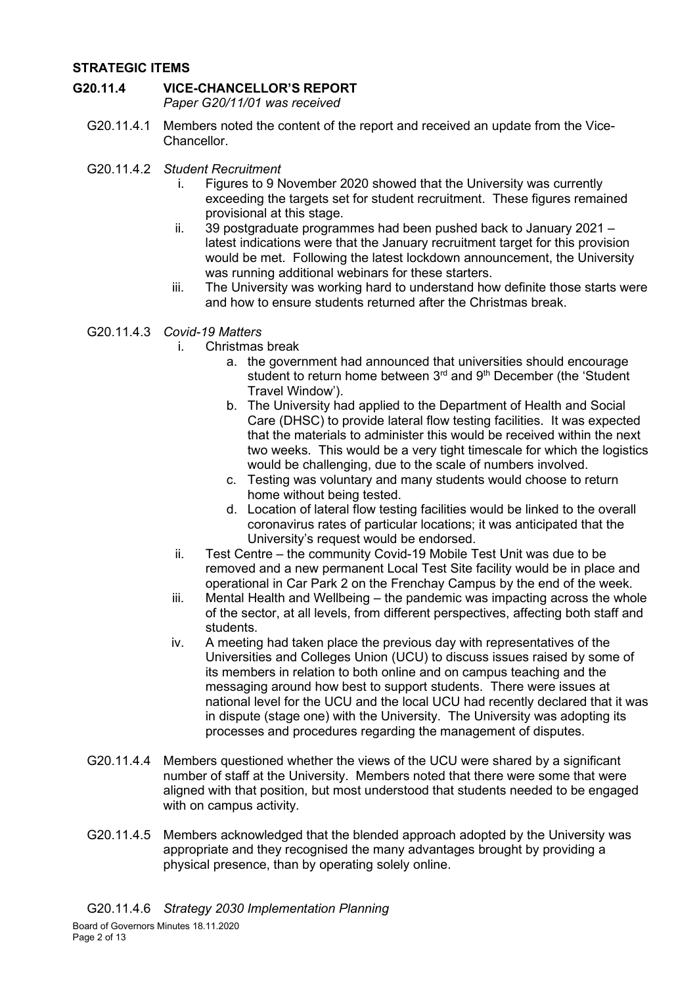## **STRATEGIC ITEMS**

### **G20.11.4 VICE-CHANCELLOR'S REPORT**

*Paper G20/11/01 was received*

- G20.11.4.1 Members noted the content of the report and received an update from the Vice-Chancellor.
- G20.11.4.2 *Student Recruitment*
	- i. Figures to 9 November 2020 showed that the University was currently exceeding the targets set for student recruitment. These figures remained provisional at this stage.
	- ii.  $39$  postgraduate programmes had been pushed back to January 2021 latest indications were that the January recruitment target for this provision would be met. Following the latest lockdown announcement, the University was running additional webinars for these starters.
	- iii. The University was working hard to understand how definite those starts were and how to ensure students returned after the Christmas break.
- G20.11.4.3 *Covid-19 Matters*
	- i. Christmas break
		- a. the government had announced that universities should encourage student to return home between 3rd and 9th December (the 'Student Travel Window').
		- b. The University had applied to the Department of Health and Social Care (DHSC) to provide lateral flow testing facilities. It was expected that the materials to administer this would be received within the next two weeks. This would be a very tight timescale for which the logistics would be challenging, due to the scale of numbers involved.
		- c. Testing was voluntary and many students would choose to return home without being tested.
		- d. Location of lateral flow testing facilities would be linked to the overall coronavirus rates of particular locations; it was anticipated that the University's request would be endorsed.
	- ii. Test Centre the community Covid-19 Mobile Test Unit was due to be removed and a new permanent Local Test Site facility would be in place and operational in Car Park 2 on the Frenchay Campus by the end of the week.
	- iii. Mental Health and Wellbeing the pandemic was impacting across the whole of the sector, at all levels, from different perspectives, affecting both staff and students.
	- iv. A meeting had taken place the previous day with representatives of the Universities and Colleges Union (UCU) to discuss issues raised by some of its members in relation to both online and on campus teaching and the messaging around how best to support students. There were issues at national level for the UCU and the local UCU had recently declared that it was in dispute (stage one) with the University. The University was adopting its processes and procedures regarding the management of disputes.
- G20.11.4.4 Members questioned whether the views of the UCU were shared by a significant number of staff at the University. Members noted that there were some that were aligned with that position, but most understood that students needed to be engaged with on campus activity.
- G20.11.4.5 Members acknowledged that the blended approach adopted by the University was appropriate and they recognised the many advantages brought by providing a physical presence, than by operating solely online.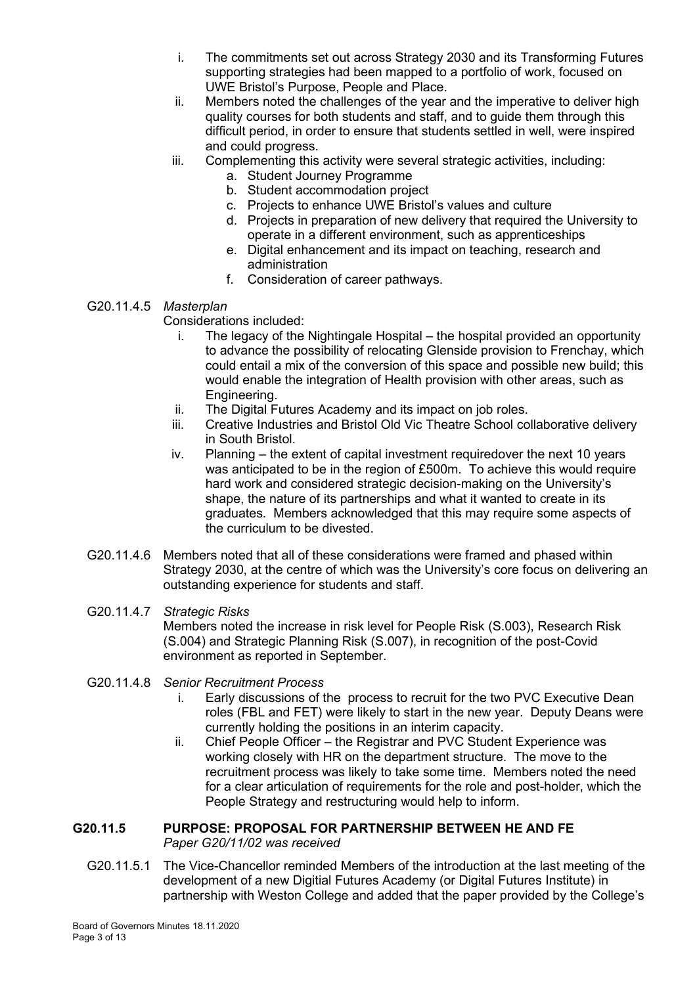- i. The commitments set out across Strategy 2030 and its Transforming Futures supporting strategies had been mapped to a portfolio of work, focused on UWE Bristol's Purpose, People and Place.
- ii. Members noted the challenges of the year and the imperative to deliver high quality courses for both students and staff, and to guide them through this difficult period, in order to ensure that students settled in well, were inspired and could progress.
- iii. Complementing this activity were several strategic activities, including:
	- a. Student Journey Programme
	- b. Student accommodation project
	- c. Projects to enhance UWE Bristol's values and culture
	- d. Projects in preparation of new delivery that required the University to operate in a different environment, such as apprenticeships
	- e. Digital enhancement and its impact on teaching, research and administration
	- f. Consideration of career pathways.

## G20.11.4.5 *Masterplan*

Considerations included:

- i. The legacy of the Nightingale Hospital the hospital provided an opportunity to advance the possibility of relocating Glenside provision to Frenchay, which could entail a mix of the conversion of this space and possible new build; this would enable the integration of Health provision with other areas, such as Engineering.
- ii. The Digital Futures Academy and its impact on job roles.
- iii. Creative Industries and Bristol Old Vic Theatre School collaborative delivery in South Bristol.
- iv. Planning the extent of capital investment requiredover the next 10 years was anticipated to be in the region of £500m. To achieve this would require hard work and considered strategic decision-making on the University's shape, the nature of its partnerships and what it wanted to create in its graduates. Members acknowledged that this may require some aspects of the curriculum to be divested.
- G20.11.4.6 Members noted that all of these considerations were framed and phased within Strategy 2030, at the centre of which was the University's core focus on delivering an outstanding experience for students and staff.

#### G20.11.4.7 *Strategic Risks* Members noted the increase in risk level for People Risk (S.003), Research Risk (S.004) and Strategic Planning Risk (S.007), in recognition of the post-Covid environment as reported in September.

- G20.11.4.8 *Senior Recruitment Process*
	- i. Early discussions of the process to recruit for the two PVC Executive Dean roles (FBL and FET) were likely to start in the new year. Deputy Deans were currently holding the positions in an interim capacity.
	- ii. Chief People Officer the Registrar and PVC Student Experience was working closely with HR on the department structure. The move to the recruitment process was likely to take some time. Members noted the need for a clear articulation of requirements for the role and post-holder, which the People Strategy and restructuring would help to inform.

## **G20.11.5 PURPOSE: PROPOSAL FOR PARTNERSHIP BETWEEN HE AND FE** *Paper G20/11/02 was received*

G20.11.5.1 The Vice-Chancellor reminded Members of the introduction at the last meeting of the development of a new Digitial Futures Academy (or Digital Futures Institute) in partnership with Weston College and added that the paper provided by the College's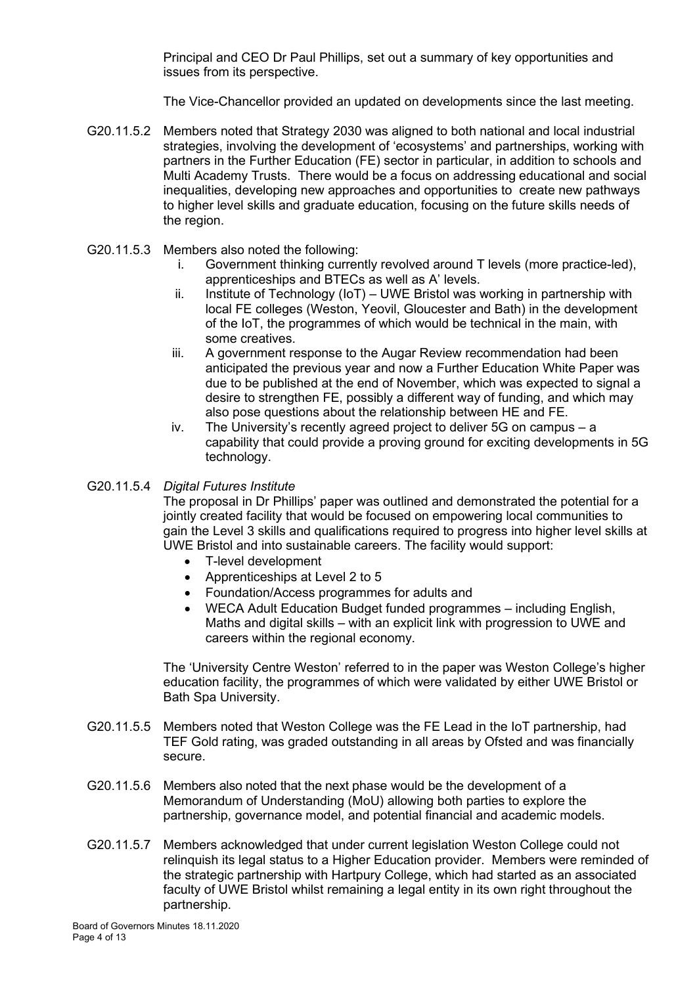Principal and CEO Dr Paul Phillips, set out a summary of key opportunities and issues from its perspective.

The Vice-Chancellor provided an updated on developments since the last meeting.

- G20.11.5.2 Members noted that Strategy 2030 was aligned to both national and local industrial strategies, involving the development of 'ecosystems' and partnerships, working with partners in the Further Education (FE) sector in particular, in addition to schools and Multi Academy Trusts. There would be a focus on addressing educational and social inequalities, developing new approaches and opportunities to create new pathways to higher level skills and graduate education, focusing on the future skills needs of the region.
- G20.11.5.3 Members also noted the following:
	- i. Government thinking currently revolved around T levels (more practice-led), apprenticeships and BTECs as well as A' levels.
	- ii. Institute of Technology (IoT) UWE Bristol was working in partnership with local FE colleges (Weston, Yeovil, Gloucester and Bath) in the development of the IoT, the programmes of which would be technical in the main, with some creatives.
	- iii. A government response to the Augar Review recommendation had been anticipated the previous year and now a Further Education White Paper was due to be published at the end of November, which was expected to signal a desire to strengthen FE, possibly a different way of funding, and which may also pose questions about the relationship between HE and FE.
	- iv. The University's recently agreed project to deliver 5G on campus a capability that could provide a proving ground for exciting developments in 5G technology.

### G20.11.5.4 *Digital Futures Institute*

The proposal in Dr Phillips' paper was outlined and demonstrated the potential for a jointly created facility that would be focused on empowering local communities to gain the Level 3 skills and qualifications required to progress into higher level skills at UWE Bristol and into sustainable careers. The facility would support:

- T-level development
- Apprenticeships at Level 2 to 5
- Foundation/Access programmes for adults and
- WECA Adult Education Budget funded programmes including English, Maths and digital skills – with an explicit link with progression to UWE and careers within the regional economy.

The 'University Centre Weston' referred to in the paper was Weston College's higher education facility, the programmes of which were validated by either UWE Bristol or Bath Spa University.

- G20.11.5.5 Members noted that Weston College was the FE Lead in the IoT partnership, had TEF Gold rating, was graded outstanding in all areas by Ofsted and was financially secure.
- G20.11.5.6 Members also noted that the next phase would be the development of a Memorandum of Understanding (MoU) allowing both parties to explore the partnership, governance model, and potential financial and academic models.
- G20.11.5.7 Members acknowledged that under current legislation Weston College could not relinquish its legal status to a Higher Education provider. Members were reminded of the strategic partnership with Hartpury College, which had started as an associated faculty of UWE Bristol whilst remaining a legal entity in its own right throughout the partnership.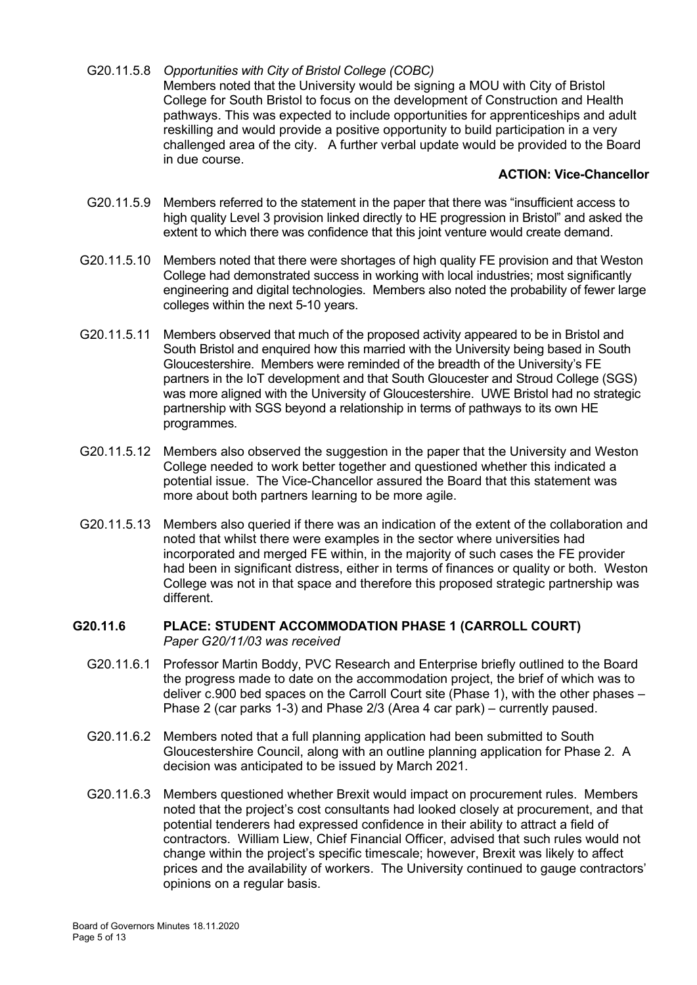G20.11.5.8 *Opportunities with City of Bristol College (COBC)* Members noted that the University would be signing a MOU with City of Bristol College for South Bristol to focus on the development of Construction and Health pathways. This was expected to include opportunities for apprenticeships and adult reskilling and would provide a positive opportunity to build participation in a very challenged area of the city. A further verbal update would be provided to the Board in due course.

#### **ACTION: Vice-Chancellor**

- G20.11.5.9 Members referred to the statement in the paper that there was "insufficient access to high quality Level 3 provision linked directly to HE progression in Bristol" and asked the extent to which there was confidence that this joint venture would create demand.
- G20.11.5.10 Members noted that there were shortages of high quality FE provision and that Weston College had demonstrated success in working with local industries; most significantly engineering and digital technologies. Members also noted the probability of fewer large colleges within the next 5-10 years.
- G20.11.5.11 Members observed that much of the proposed activity appeared to be in Bristol and South Bristol and enquired how this married with the University being based in South Gloucestershire. Members were reminded of the breadth of the University's FE partners in the IoT development and that South Gloucester and Stroud College (SGS) was more aligned with the University of Gloucestershire. UWE Bristol had no strategic partnership with SGS beyond a relationship in terms of pathways to its own HE programmes.
- G20.11.5.12 Members also observed the suggestion in the paper that the University and Weston College needed to work better together and questioned whether this indicated a potential issue. The Vice-Chancellor assured the Board that this statement was more about both partners learning to be more agile.
- G20.11.5.13 Members also queried if there was an indication of the extent of the collaboration and noted that whilst there were examples in the sector where universities had incorporated and merged FE within, in the majority of such cases the FE provider had been in significant distress, either in terms of finances or quality or both. Weston College was not in that space and therefore this proposed strategic partnership was different.

### **G20.11.6 PLACE: STUDENT ACCOMMODATION PHASE 1 (CARROLL COURT)** *Paper G20/11/03 was received*

- G20.11.6.1 Professor Martin Boddy, PVC Research and Enterprise briefly outlined to the Board the progress made to date on the accommodation project, the brief of which was to deliver c.900 bed spaces on the Carroll Court site (Phase 1), with the other phases – Phase 2 (car parks 1-3) and Phase 2/3 (Area 4 car park) – currently paused.
- G20.11.6.2 Members noted that a full planning application had been submitted to South Gloucestershire Council, along with an outline planning application for Phase 2. A decision was anticipated to be issued by March 2021.
- G20.11.6.3 Members questioned whether Brexit would impact on procurement rules. Members noted that the project's cost consultants had looked closely at procurement, and that potential tenderers had expressed confidence in their ability to attract a field of contractors. William Liew, Chief Financial Officer, advised that such rules would not change within the project's specific timescale; however, Brexit was likely to affect prices and the availability of workers. The University continued to gauge contractors' opinions on a regular basis.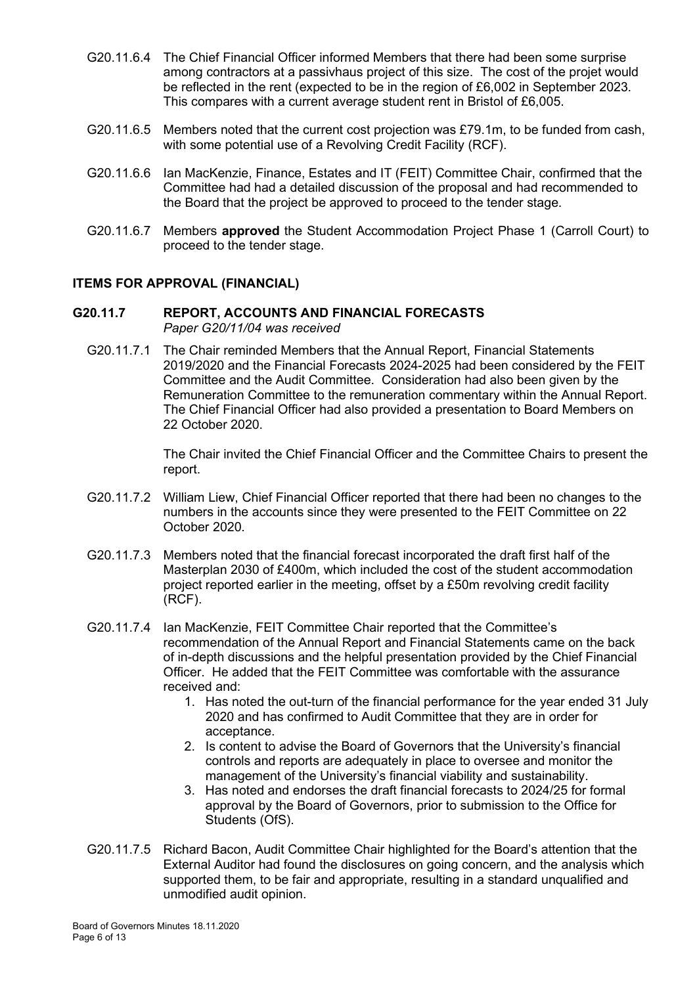- G20.11.6.4 The Chief Financial Officer informed Members that there had been some surprise among contractors at a passivhaus project of this size. The cost of the projet would be reflected in the rent (expected to be in the region of £6,002 in September 2023. This compares with a current average student rent in Bristol of £6,005.
- G20.11.6.5 Members noted that the current cost projection was £79.1m, to be funded from cash, with some potential use of a Revolving Credit Facility (RCF).
- G20.11.6.6 Ian MacKenzie, Finance, Estates and IT (FEIT) Committee Chair, confirmed that the Committee had had a detailed discussion of the proposal and had recommended to the Board that the project be approved to proceed to the tender stage.
- G20.11.6.7 Members **approved** the Student Accommodation Project Phase 1 (Carroll Court) to proceed to the tender stage.

### **ITEMS FOR APPROVAL (FINANCIAL)**

#### **G20.11.7 REPORT, ACCOUNTS AND FINANCIAL FORECASTS**  *Paper G20/11/04 was received*

G20.11.7.1 The Chair reminded Members that the Annual Report, Financial Statements 2019/2020 and the Financial Forecasts 2024-2025 had been considered by the FEIT Committee and the Audit Committee. Consideration had also been given by the Remuneration Committee to the remuneration commentary within the Annual Report. The Chief Financial Officer had also provided a presentation to Board Members on 22 October 2020.

> The Chair invited the Chief Financial Officer and the Committee Chairs to present the report.

- G20.11.7.2 William Liew, Chief Financial Officer reported that there had been no changes to the numbers in the accounts since they were presented to the FEIT Committee on 22 October 2020.
- G20.11.7.3 Members noted that the financial forecast incorporated the draft first half of the Masterplan 2030 of £400m, which included the cost of the student accommodation project reported earlier in the meeting, offset by a £50m revolving credit facility (RCF).
- G20.11.7.4 Ian MacKenzie, FEIT Committee Chair reported that the Committee's recommendation of the Annual Report and Financial Statements came on the back of in-depth discussions and the helpful presentation provided by the Chief Financial Officer. He added that the FEIT Committee was comfortable with the assurance received and:
	- 1. Has noted the out-turn of the financial performance for the year ended 31 July 2020 and has confirmed to Audit Committee that they are in order for acceptance.
	- 2. Is content to advise the Board of Governors that the University's financial controls and reports are adequately in place to oversee and monitor the management of the University's financial viability and sustainability.
	- 3. Has noted and endorses the draft financial forecasts to 2024/25 for formal approval by the Board of Governors, prior to submission to the Office for Students (OfS).
- G20.11.7.5 Richard Bacon, Audit Committee Chair highlighted for the Board's attention that the External Auditor had found the disclosures on going concern, and the analysis which supported them, to be fair and appropriate, resulting in a standard unqualified and unmodified audit opinion.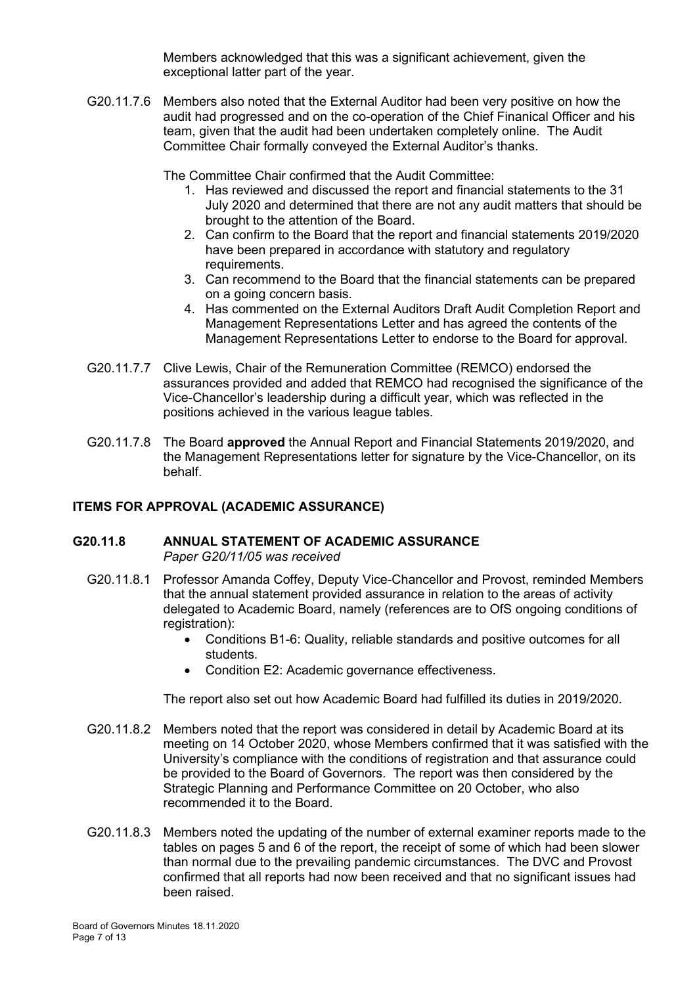Members acknowledged that this was a significant achievement, given the exceptional latter part of the year.

G20.11.7.6 Members also noted that the External Auditor had been very positive on how the audit had progressed and on the co-operation of the Chief Finanical Officer and his team, given that the audit had been undertaken completely online. The Audit Committee Chair formally conveyed the External Auditor's thanks.

The Committee Chair confirmed that the Audit Committee:

- 1. Has reviewed and discussed the report and financial statements to the 31 July 2020 and determined that there are not any audit matters that should be brought to the attention of the Board.
- 2. Can confirm to the Board that the report and financial statements 2019/2020 have been prepared in accordance with statutory and regulatory requirements.
- 3. Can recommend to the Board that the financial statements can be prepared on a going concern basis.
- 4. Has commented on the External Auditors Draft Audit Completion Report and Management Representations Letter and has agreed the contents of the Management Representations Letter to endorse to the Board for approval.
- G20.11.7.7 Clive Lewis, Chair of the Remuneration Committee (REMCO) endorsed the assurances provided and added that REMCO had recognised the significance of the Vice-Chancellor's leadership during a difficult year, which was reflected in the positions achieved in the various league tables.
- G20.11.7.8 The Board **approved** the Annual Report and Financial Statements 2019/2020, and the Management Representations letter for signature by the Vice-Chancellor, on its behalf.

# **ITEMS FOR APPROVAL (ACADEMIC ASSURANCE)**

#### **G20.11.8 ANNUAL STATEMENT OF ACADEMIC ASSURANCE** *Paper G20/11/05 was received*

- G20.11.8.1 Professor Amanda Coffey, Deputy Vice-Chancellor and Provost, reminded Members that the annual statement provided assurance in relation to the areas of activity delegated to Academic Board, namely (references are to OfS ongoing conditions of registration):
	- Conditions B1-6: Quality, reliable standards and positive outcomes for all students.
	- Condition E2: Academic governance effectiveness.

The report also set out how Academic Board had fulfilled its duties in 2019/2020.

- G20.11.8.2 Members noted that the report was considered in detail by Academic Board at its meeting on 14 October 2020, whose Members confirmed that it was satisfied with the University's compliance with the conditions of registration and that assurance could be provided to the Board of Governors. The report was then considered by the Strategic Planning and Performance Committee on 20 October, who also recommended it to the Board.
- G20.11.8.3 Members noted the updating of the number of external examiner reports made to the tables on pages 5 and 6 of the report, the receipt of some of which had been slower than normal due to the prevailing pandemic circumstances. The DVC and Provost confirmed that all reports had now been received and that no significant issues had been raised.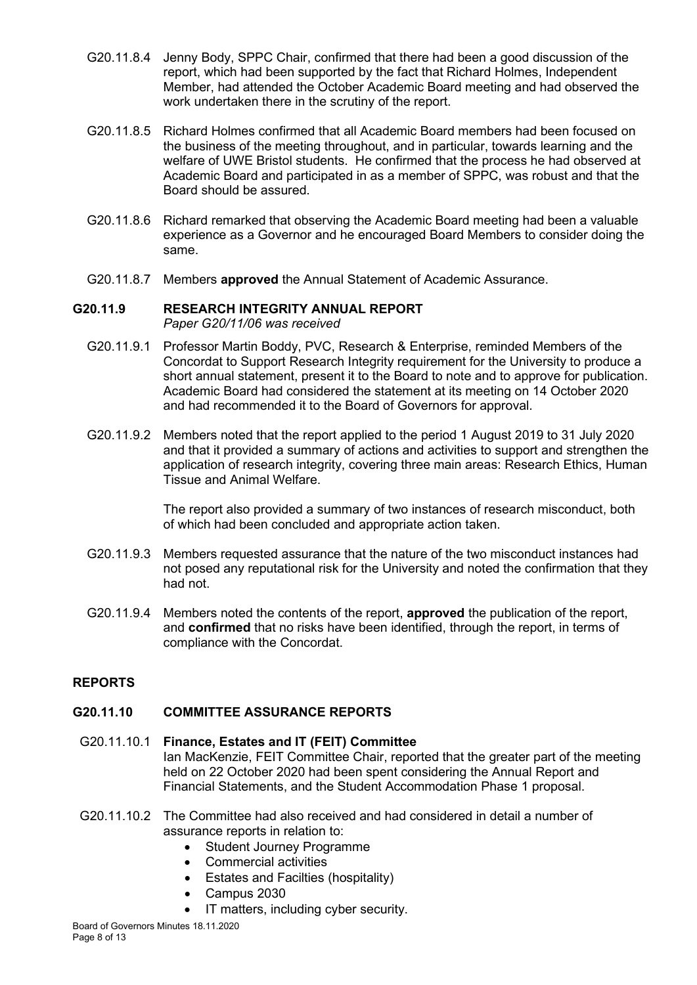- G20.11.8.4 Jenny Body, SPPC Chair, confirmed that there had been a good discussion of the report, which had been supported by the fact that Richard Holmes, Independent Member, had attended the October Academic Board meeting and had observed the work undertaken there in the scrutiny of the report.
- G20.11.8.5 Richard Holmes confirmed that all Academic Board members had been focused on the business of the meeting throughout, and in particular, towards learning and the welfare of UWE Bristol students. He confirmed that the process he had observed at Academic Board and participated in as a member of SPPC, was robust and that the Board should be assured.
- G20.11.8.6 Richard remarked that observing the Academic Board meeting had been a valuable experience as a Governor and he encouraged Board Members to consider doing the same.
- G20.11.8.7 Members **approved** the Annual Statement of Academic Assurance.

#### **G20.11.9 RESEARCH INTEGRITY ANNUAL REPORT** *Paper G20/11/06 was received*

- G20.11.9.1 Professor Martin Boddy, PVC, Research & Enterprise, reminded Members of the Concordat to Support Research Integrity requirement for the University to produce a short annual statement, present it to the Board to note and to approve for publication. Academic Board had considered the statement at its meeting on 14 October 2020 and had recommended it to the Board of Governors for approval.
- G20.11.9.2 Members noted that the report applied to the period 1 August 2019 to 31 July 2020 and that it provided a summary of actions and activities to support and strengthen the application of research integrity, covering three main areas: Research Ethics, Human Tissue and Animal Welfare.

The report also provided a summary of two instances of research misconduct, both of which had been concluded and appropriate action taken.

- G20.11.9.3 Members requested assurance that the nature of the two misconduct instances had not posed any reputational risk for the University and noted the confirmation that they had not.
- G20.11.9.4 Members noted the contents of the report, **approved** the publication of the report, and **confirmed** that no risks have been identified, through the report, in terms of compliance with the Concordat.

# **REPORTS**

# **G20.11.10 COMMITTEE ASSURANCE REPORTS**

#### G20.11.10.1 **Finance, Estates and IT (FEIT) Committee** Ian MacKenzie, FEIT Committee Chair, reported that the greater part of the meeting held on 22 October 2020 had been spent considering the Annual Report and Financial Statements, and the Student Accommodation Phase 1 proposal.

- G20.11.10.2 The Committee had also received and had considered in detail a number of assurance reports in relation to:
	- Student Journey Programme
	- Commercial activities
	- Estates and Facilties (hospitality)
	- Campus 2030
	- IT matters, including cyber security.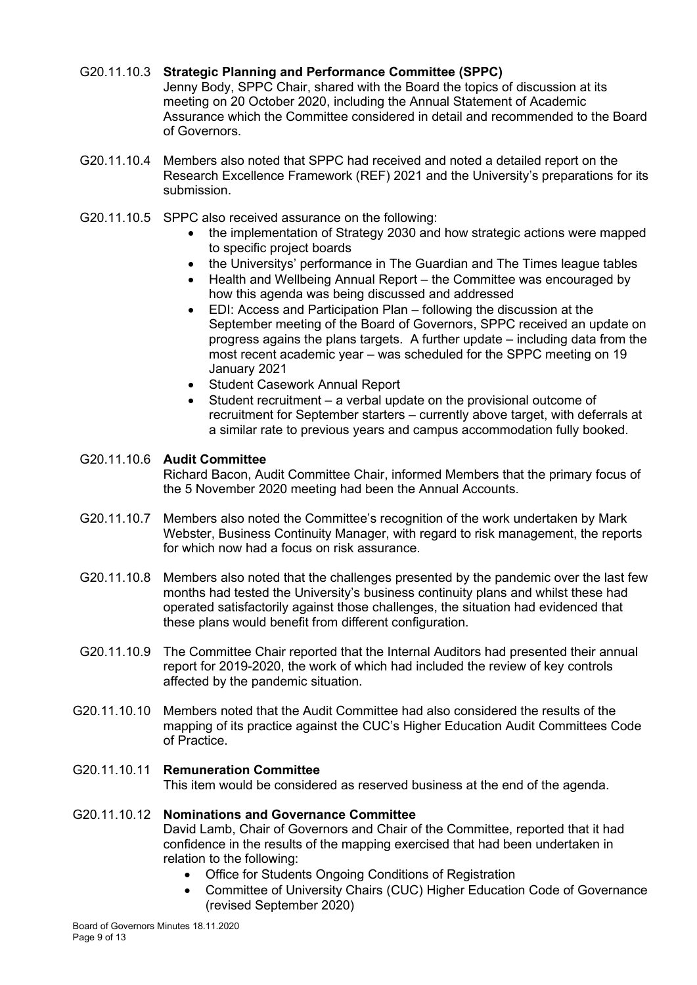### G20.11.10.3 **Strategic Planning and Performance Committee (SPPC)**

Jenny Body, SPPC Chair, shared with the Board the topics of discussion at its meeting on 20 October 2020, including the Annual Statement of Academic Assurance which the Committee considered in detail and recommended to the Board of Governors.

- G20.11.10.4 Members also noted that SPPC had received and noted a detailed report on the Research Excellence Framework (REF) 2021 and the University's preparations for its submission.
- G20.11.10.5 SPPC also received assurance on the following:
	- the implementation of Strategy 2030 and how strategic actions were mapped to specific project boards
	- the Universitys' performance in The Guardian and The Times league tables
	- Health and Wellbeing Annual Report the Committee was encouraged by how this agenda was being discussed and addressed
	- EDI: Access and Participation Plan following the discussion at the September meeting of the Board of Governors, SPPC received an update on progress agains the plans targets. A further update – including data from the most recent academic year – was scheduled for the SPPC meeting on 19 January 2021
	- Student Casework Annual Report
	- Student recruitment a verbal update on the provisional outcome of recruitment for September starters – currently above target, with deferrals at a similar rate to previous years and campus accommodation fully booked.

# G20.11.10.6 **Audit Committee**

Richard Bacon, Audit Committee Chair, informed Members that the primary focus of the 5 November 2020 meeting had been the Annual Accounts.

- G20.11.10.7 Members also noted the Committee's recognition of the work undertaken by Mark Webster, Business Continuity Manager, with regard to risk management, the reports for which now had a focus on risk assurance.
- G20.11.10.8 Members also noted that the challenges presented by the pandemic over the last few months had tested the University's business continuity plans and whilst these had operated satisfactorily against those challenges, the situation had evidenced that these plans would benefit from different configuration.
- G20.11.10.9 The Committee Chair reported that the Internal Auditors had presented their annual report for 2019-2020, the work of which had included the review of key controls affected by the pandemic situation.
- G20.11.10.10 Members noted that the Audit Committee had also considered the results of the mapping of its practice against the CUC's Higher Education Audit Committees Code of Practice.

### G20.11.10.11 **Remuneration Committee**

This item would be considered as reserved business at the end of the agenda.

### G20.11.10.12 **Nominations and Governance Committee**

David Lamb, Chair of Governors and Chair of the Committee, reported that it had confidence in the results of the mapping exercised that had been undertaken in relation to the following:

- Office for Students Ongoing Conditions of Registration
- Committee of University Chairs (CUC) Higher Education Code of Governance (revised September 2020)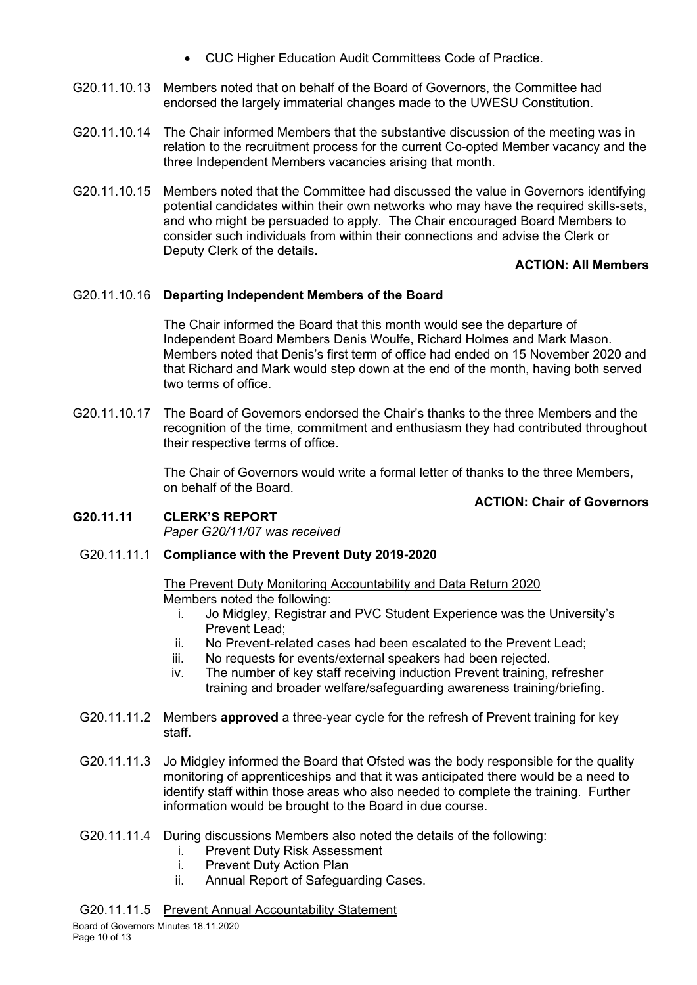- CUC Higher Education Audit Committees Code of Practice.
- G20.11.10.13 Members noted that on behalf of the Board of Governors, the Committee had endorsed the largely immaterial changes made to the UWESU Constitution.
- G20.11.10.14 The Chair informed Members that the substantive discussion of the meeting was in relation to the recruitment process for the current Co-opted Member vacancy and the three Independent Members vacancies arising that month.
- G20.11.10.15 Members noted that the Committee had discussed the value in Governors identifying potential candidates within their own networks who may have the required skills-sets, and who might be persuaded to apply. The Chair encouraged Board Members to consider such individuals from within their connections and advise the Clerk or Deputy Clerk of the details.

# **ACTION: All Members**

### G20.11.10.16 **Departing Independent Members of the Board**

The Chair informed the Board that this month would see the departure of Independent Board Members Denis Woulfe, Richard Holmes and Mark Mason. Members noted that Denis's first term of office had ended on 15 November 2020 and that Richard and Mark would step down at the end of the month, having both served two terms of office.

G20.11.10.17 The Board of Governors endorsed the Chair's thanks to the three Members and the recognition of the time, commitment and enthusiasm they had contributed throughout their respective terms of office.

> The Chair of Governors would write a formal letter of thanks to the three Members, on behalf of the Board.

### **ACTION: Chair of Governors**

#### **G20.11.11 CLERK'S REPORT** *Paper G20/11/07 was received*

### G20.11.11.1 **Compliance with the Prevent Duty 2019-2020**

#### The Prevent Duty Monitoring Accountability and Data Return 2020 Members noted the following:

- i. Jo Midgley, Registrar and PVC Student Experience was the University's Prevent Lead;
- ii. No Prevent-related cases had been escalated to the Prevent Lead;
- iii. No requests for events/external speakers had been rejected.
- iv. The number of key staff receiving induction Prevent training, refresher training and broader welfare/safeguarding awareness training/briefing.
- G20.11.11.2 Members **approved** a three-year cycle for the refresh of Prevent training for key staff.
- G20.11.11.3 Jo Midgley informed the Board that Ofsted was the body responsible for the quality monitoring of apprenticeships and that it was anticipated there would be a need to identify staff within those areas who also needed to complete the training. Further information would be brought to the Board in due course.
- G20.11.11.4 During discussions Members also noted the details of the following:
	- i. Prevent Duty Risk Assessment<br>i. Prevent Duty Action Plan
	- Prevent Duty Action Plan
	- ii. Annual Report of Safeguarding Cases.

### G20.11.11.5 Prevent Annual Accountability Statement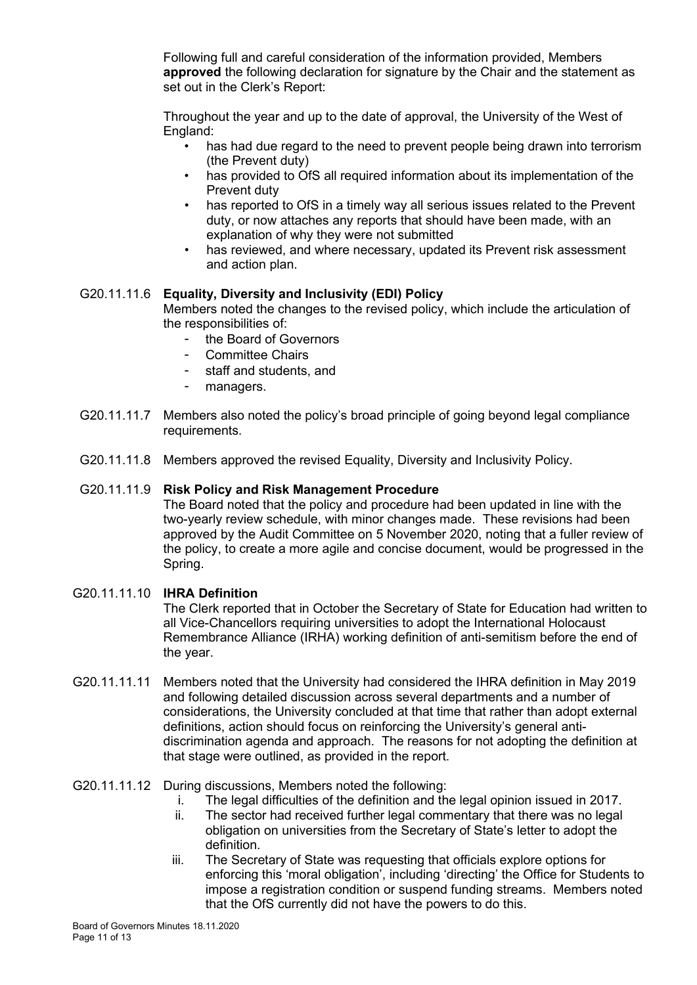Following full and careful consideration of the information provided, Members **approved** the following declaration for signature by the Chair and the statement as set out in the Clerk's Report:

Throughout the year and up to the date of approval, the University of the West of England:

- has had due regard to the need to prevent people being drawn into terrorism (the Prevent duty)
- has provided to OfS all required information about its implementation of the Prevent duty
- has reported to OfS in a timely way all serious issues related to the Prevent duty, or now attaches any reports that should have been made, with an explanation of why they were not submitted
- has reviewed, and where necessary, updated its Prevent risk assessment and action plan.

### G20.11.11.6 **Equality, Diversity and Inclusivity (EDI) Policy**

Members noted the changes to the revised policy, which include the articulation of the responsibilities of:

- the Board of Governors
- Committee Chairs
- staff and students, and
- managers.
- G20.11.11.7 Members also noted the policy's broad principle of going beyond legal compliance requirements.
- G20.11.11.8 Members approved the revised Equality, Diversity and Inclusivity Policy.

#### G20.11.11.9 **Risk Policy and Risk Management Procedure**

The Board noted that the policy and procedure had been updated in line with the two-yearly review schedule, with minor changes made. These revisions had been approved by the Audit Committee on 5 November 2020, noting that a fuller review of the policy, to create a more agile and concise document, would be progressed in the Spring.

#### G20.11.11.10 **IHRA Definition**

The Clerk reported that in October the Secretary of State for Education had written to all Vice-Chancellors requiring universities to adopt the International Holocaust Remembrance Alliance (IRHA) working definition of anti-semitism before the end of the year.

G20.11.11.11 Members noted that the University had considered the IHRA definition in May 2019 and following detailed discussion across several departments and a number of considerations, the University concluded at that time that rather than adopt external definitions, action should focus on reinforcing the University's general antidiscrimination agenda and approach. The reasons for not adopting the definition at that stage were outlined, as provided in the report.

#### G20.11.11.12 During discussions, Members noted the following:

- i. The legal difficulties of the definition and the legal opinion issued in 2017.
- ii. The sector had received further legal commentary that there was no legal obligation on universities from the Secretary of State's letter to adopt the definition.
- iii. The Secretary of State was requesting that officials explore options for enforcing this 'moral obligation', including 'directing' the Office for Students to impose a registration condition or suspend funding streams. Members noted that the OfS currently did not have the powers to do this.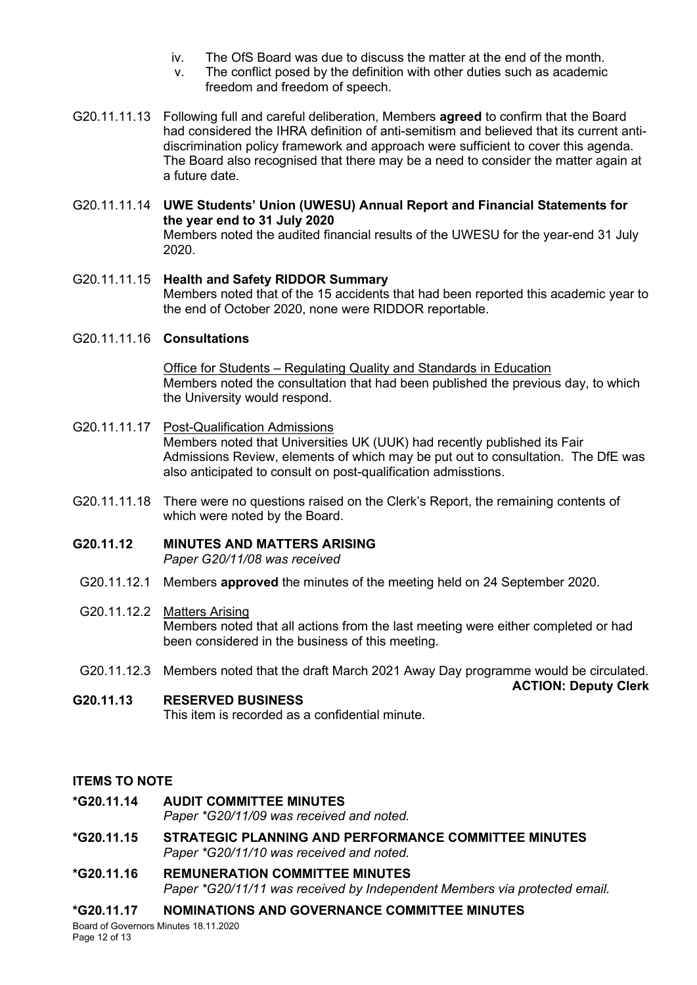- iv. The OfS Board was due to discuss the matter at the end of the month.
- v. The conflict posed by the definition with other duties such as academic freedom and freedom of speech.
- G20.11.11.13 Following full and careful deliberation, Members **agreed** to confirm that the Board had considered the IHRA definition of anti-semitism and believed that its current antidiscrimination policy framework and approach were sufficient to cover this agenda. The Board also recognised that there may be a need to consider the matter again at a future date.
- G20.11.11.14 **UWE Students' Union (UWESU) Annual Report and Financial Statements for the year end to 31 July 2020** Members noted the audited financial results of the UWESU for the year-end 31 July 2020.
- G20.11.11.15 **Health and Safety RIDDOR Summary** Members noted that of the 15 accidents that had been reported this academic year to the end of October 2020, none were RIDDOR reportable.

## G20.11.11.16 **Consultations**

Office for Students – Regulating Quality and Standards in Education Members noted the consultation that had been published the previous day, to which the University would respond.

- G20.11.11.17 Post-Qualification Admissions Members noted that Universities UK (UUK) had recently published its Fair Admissions Review, elements of which may be put out to consultation. The DfE was also anticipated to consult on post-qualification admisstions.
- G20.11.11.18 There were no questions raised on the Clerk's Report, the remaining contents of which were noted by the Board.

# **G20.11.12 MINUTES AND MATTERS ARISING**

*Paper G20/11/08 was received*

G20.11.12.1 Members **approved** the minutes of the meeting held on 24 September 2020.

### G20.11.12.2 Matters Arising

Members noted that all actions from the last meeting were either completed or had been considered in the business of this meeting.

G20.11.12.3 Members noted that the draft March 2021 Away Day programme would be circulated.

**ACTION: Deputy Clerk**

**G20.11.13 RESERVED BUSINESS** This item is recorded as a confidential minute.

### **ITEMS TO NOTE**

**\*G20.11.14 AUDIT COMMITTEE MINUTES**

*Paper \*G20/11/09 was received and noted.*

- **\*G20.11.15 STRATEGIC PLANNING AND PERFORMANCE COMMITTEE MINUTES** *Paper \*G20/11/10 was received and noted.*
- **\*G20.11.16 REMUNERATION COMMITTEE MINUTES** *Paper \*G20/11/11 was received by Independent Members via protected email.*

# **\*G20.11.17 NOMINATIONS AND GOVERNANCE COMMITTEE MINUTES**

Board of Governors Minutes 18.11.2020 Page 12 of 13